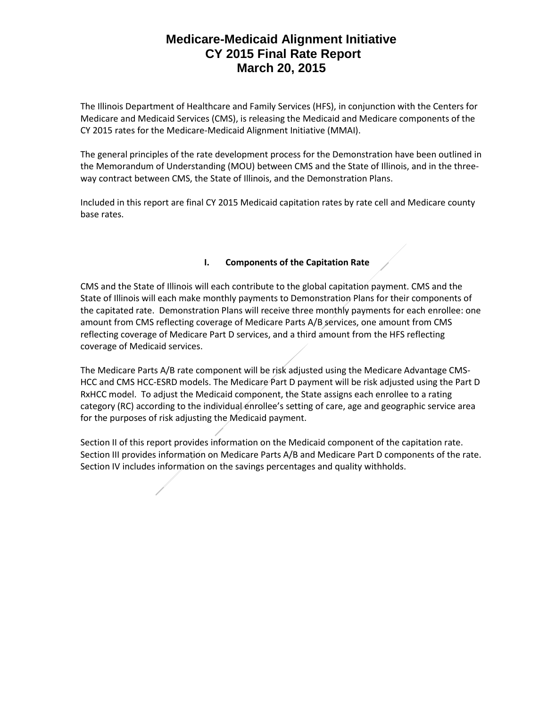The Illinois Department of Healthcare and Family Services (HFS), in conjunction with the Centers for Medicare and Medicaid Services (CMS), is releasing the Medicaid and Medicare components of the CY 2015 rates for the Medicare-Medicaid Alignment Initiative (MMAI).

The general principles of the rate development process for the Demonstration have been outlined in the Memorandum of Understanding (MOU) between CMS and the State of Illinois, and in the threeway contract between CMS, the State of Illinois, and the Demonstration Plans.

Included in this report are final CY 2015 Medicaid capitation rates by rate cell and Medicare county base rates.

### **I. Components of the Capitation Rate**

CMS and the State of Illinois will each contribute to the global capitation payment. CMS and the State of Illinois will each make monthly payments to Demonstration Plans for their components of the capitated rate. Demonstration Plans will receive three monthly payments for each enrollee: one amount from CMS reflecting coverage of Medicare Parts A/B services, one amount from CMS reflecting coverage of Medicare Part D services, and a third amount from the HFS reflecting coverage of Medicaid services.

The Medicare Parts A/B rate component will be risk adjusted using the Medicare Advantage CMS-HCC and CMS HCC-ESRD models. The Medicare Part D payment will be risk adjusted using the Part D RxHCC model. To adjust the Medicaid component, the State assigns each enrollee to a rating category (RC) according to the individual enrollee's setting of care, age and geographic service area for the purposes of risk adjusting the Medicaid payment.

Section II of this report provides information on the Medicaid component of the capitation rate. Section III provides information on Medicare Parts A/B and Medicare Part D components of the rate. Section IV includes information on the savings percentages and quality withholds.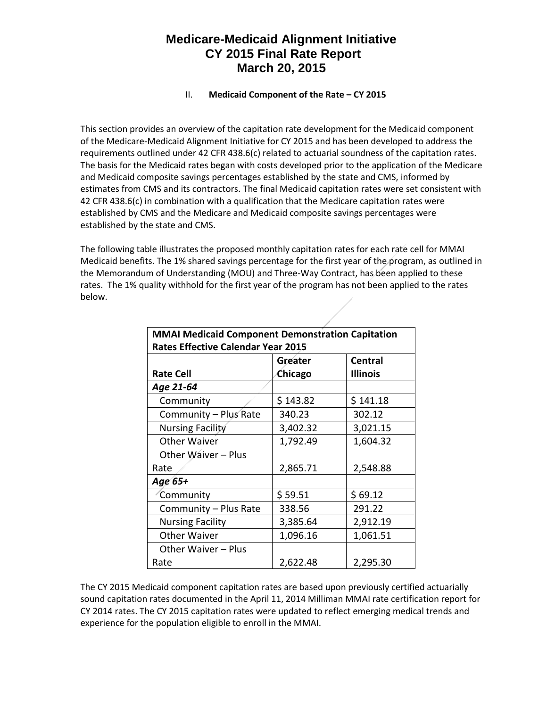### **II.** Medicaid Component of the Rate – CY 2015

This section provides an overview of the capitation rate development for the Medicaid component of the Medicare-Medicaid Alignment Initiative for CY 2015 and has been developed to address the requirements outlined under 42 CFR 438.6(c) related to actuarial soundness of the capitation rates. The basis for the Medicaid rates began with costs developed prior to the application of the Medicare and Medicaid composite savings percentages established by the state and CMS, informed by estimates from CMS and its contractors. The final Medicaid capitation rates were set consistent with 42 CFR 438.6(c) in combination with a qualification that the Medicare capitation rates were established by CMS and the Medicare and Medicaid composite savings percentages were established by the state and CMS.

The following table illustrates the proposed monthly capitation rates for each rate cell for MMAI Medicaid benefits. The 1% shared savings percentage for the first year of the program, as outlined in the Memorandum of Understanding (MOU) and Three-Way Contract, has been applied to these rates. The 1% quality withhold for the first year of the program has not been applied to the rates below.

| <b>MMAI Medicaid Component Demonstration Capitation</b> |          |                 |  |  |
|---------------------------------------------------------|----------|-----------------|--|--|
| <b>Rates Effective Calendar Year 2015</b>               |          |                 |  |  |
|                                                         | Greater  | <b>Central</b>  |  |  |
| <b>Rate Cell</b>                                        | Chicago  | <b>Illinois</b> |  |  |
| Age 21-64                                               |          |                 |  |  |
| Community                                               | \$143.82 | \$141.18        |  |  |
| Community - Plus Rate                                   | 340.23   | 302.12          |  |  |
| <b>Nursing Facility</b>                                 | 3,402.32 | 3,021.15        |  |  |
| Other Waiver                                            | 1,792.49 | 1,604.32        |  |  |
| Other Waiver - Plus                                     |          |                 |  |  |
| Rate                                                    | 2,865.71 | 2,548.88        |  |  |
| Age 65+                                                 |          |                 |  |  |
| <b>Community</b>                                        | \$59.51  | \$69.12         |  |  |
| Community - Plus Rate                                   | 338.56   | 291.22          |  |  |
| <b>Nursing Facility</b>                                 | 3,385.64 | 2,912.19        |  |  |
| Other Waiver                                            | 1,096.16 | 1,061.51        |  |  |
| Other Waiver – Plus                                     |          |                 |  |  |
| Rate                                                    | 2,622.48 | 2,295.30        |  |  |

The CY 2015 Medicaid component capitation rates are based upon previously certified actuarially sound capitation rates documented in the April 11, 2014 Milliman MMAI rate certification report for CY 2014 rates. The CY 2015 capitation rates were updated to reflect emerging medical trends and experience for the population eligible to enroll in the MMAI.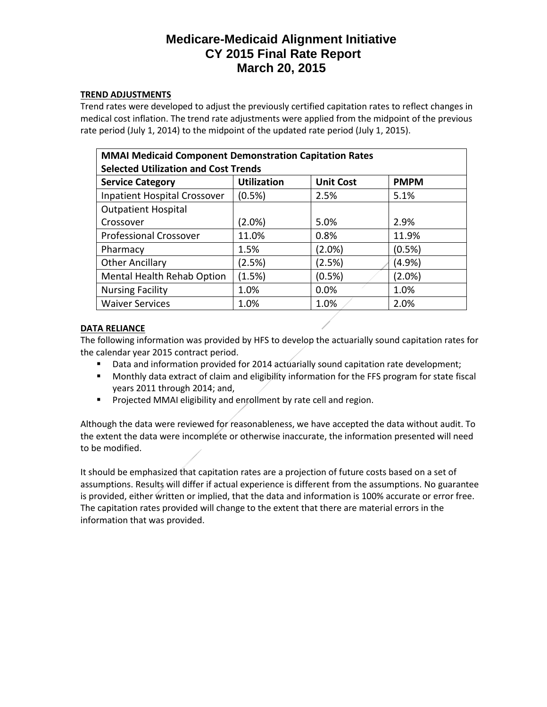### **TREND ADJUSTMENTS**

Trend rates were developed to adjust the previously certified capitation rates to reflect changes in medical cost inflation. The trend rate adjustments were applied from the midpoint of the previous rate period (July 1, 2014) to the midpoint of the updated rate period (July 1, 2015).

| <b>MMAI Medicaid Component Demonstration Capitation Rates</b><br><b>Selected Utilization and Cost Trends</b> |                    |                  |             |  |
|--------------------------------------------------------------------------------------------------------------|--------------------|------------------|-------------|--|
| <b>Service Category</b>                                                                                      | <b>Utilization</b> | <b>Unit Cost</b> | <b>PMPM</b> |  |
| Inpatient Hospital Crossover                                                                                 | (0.5%)             | 2.5%             | 5.1%        |  |
| <b>Outpatient Hospital</b>                                                                                   |                    |                  |             |  |
| Crossover                                                                                                    | (2.0%)             | 5.0%             | 2.9%        |  |
| <b>Professional Crossover</b>                                                                                | 11.0%              | 0.8%             | 11.9%       |  |
| Pharmacy                                                                                                     | 1.5%               | $(2.0\%)$        | (0.5%)      |  |
| <b>Other Ancillary</b>                                                                                       | (2.5%)             | (2.5%)           | (4.9%)      |  |
| Mental Health Rehab Option                                                                                   | (1.5%)             | (0.5%)           | (2.0%)      |  |
| <b>Nursing Facility</b>                                                                                      | 1.0%               | 0.0%             | 1.0%        |  |
| <b>Waiver Services</b>                                                                                       | 1.0%               | 1.0%             | 2.0%        |  |

### **DATA RELIANCE**

The following information was provided by HFS to develop the actuarially sound capitation rates for the calendar year 2015 contract period.

- Data and information provided for 2014 actuarially sound capitation rate development;
- Monthly data extract of claim and eligibility information for the FFS program for state fiscal years 2011 through 2014; and,
- Projected MMAI eligibility and enrollment by rate cell and region.

Although the data were reviewed for reasonableness, we have accepted the data without audit. To the extent the data were incomplete or otherwise inaccurate, the information presented will need to be modified.

It should be emphasized that capitation rates are a projection of future costs based on a set of assumptions. Results will differ if actual experience is different from the assumptions. No guarantee is provided, either written or implied, that the data and information is 100% accurate or error free. The capitation rates provided will change to the extent that there are material errors in the information that was provided.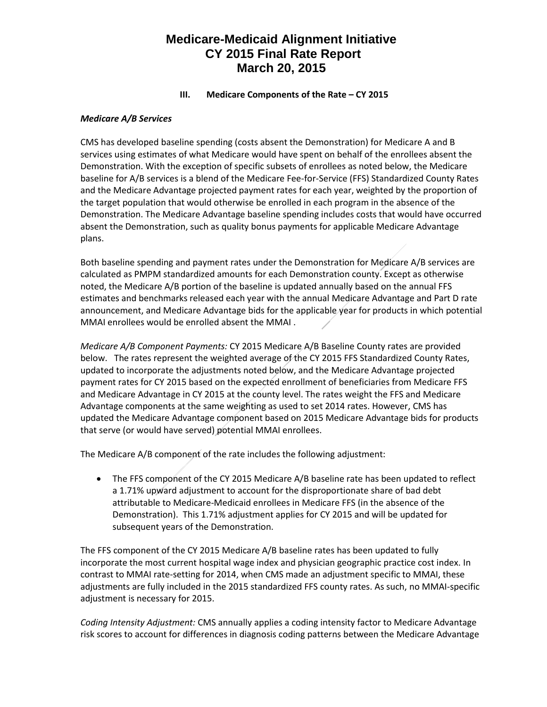### **III.** Medicare Components of the Rate – CY 2015

#### *Medicare A/B Services*

CMS has developed baseline spending (costs absent the Demonstration) for Medicare A and B services using estimates of what Medicare would have spent on behalf of the enrollees absent the Demonstration. With the exception of specific subsets of enrollees as noted below, the Medicare baseline for A/B services is a blend of the Medicare Fee-for-Service (FFS) Standardized County Rates and the Medicare Advantage projected payment rates for each year, weighted by the proportion of the target population that would otherwise be enrolled in each program in the absence of the Demonstration. The Medicare Advantage baseline spending includes costs that would have occurred absent the Demonstration, such as quality bonus payments for applicable Medicare Advantage plans.

Both baseline spending and payment rates under the Demonstration for Medicare A/B services are calculated as PMPM standardized amounts for each Demonstration county. Except as otherwise noted, the Medicare A/B portion of the baseline is updated annually based on the annual FFS estimates and benchmarks released each year with the annual Medicare Advantage and Part D rate announcement, and Medicare Advantage bids for the applicable year for products in which potential MMAI enrollees would be enrolled absent the MMAI .

*Medicare A/B Component Payments:* CY 2015 Medicare A/B Baseline County rates are provided below. The rates represent the weighted average of the CY 2015 FFS Standardized County Rates, updated to incorporate the adjustments noted below, and the Medicare Advantage projected payment rates for CY 2015 based on the expected enrollment of beneficiaries from Medicare FFS and Medicare Advantage in CY 2015 at the county level. The rates weight the FFS and Medicare Advantage components at the same weighting as used to set 2014 rates. However, CMS has updated the Medicare Advantage component based on 2015 Medicare Advantage bids for products that serve (or would have served) potential MMAI enrollees.

The Medicare A/B component of the rate includes the following adjustment:

• The FFS component of the CY 2015 Medicare A/B baseline rate has been updated to reflect a 1.71% upward adjustment to account for the disproportionate share of bad debt attributable to Medicare-Medicaid enrollees in Medicare FFS (in the absence of the Demonstration). This 1.71% adjustment applies for CY 2015 and will be updated for subsequent years of the Demonstration.

The FFS component of the CY 2015 Medicare A/B baseline rates has been updated to fully incorporate the most current hospital wage index and physician geographic practice cost index. In contrast to MMAI rate-setting for 2014, when CMS made an adjustment specific to MMAI, these adjustments are fully included in the 2015 standardized FFS county rates. As such, no MMAI-specific adjustment is necessary for 2015.

*Coding Intensity Adjustment:* CMS annually applies a coding intensity factor to Medicare Advantage risk scores to account for differences in diagnosis coding patterns between the Medicare Advantage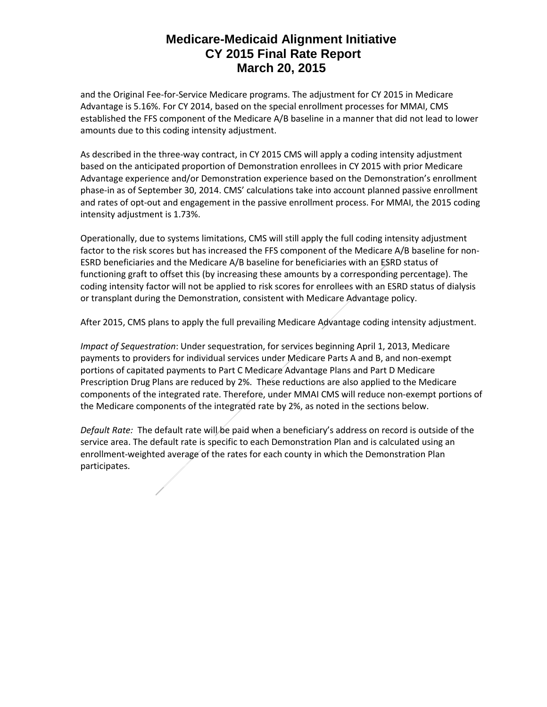and the Original Fee-for-Service Medicare programs. The adjustment for CY 2015 in Medicare Advantage is 5.16%. For CY 2014, based on the special enrollment processes for MMAI, CMS established the FFS component of the Medicare A/B baseline in a manner that did not lead to lower amounts due to this coding intensity adjustment.

As described in the three-way contract, in CY 2015 CMS will apply a coding intensity adjustment based on the anticipated proportion of Demonstration enrollees in CY 2015 with prior Medicare Advantage experience and/or Demonstration experience based on the Demonstration's enrollment phase-in as of September 30, 2014. CMS' calculations take into account planned passive enrollment and rates of opt-out and engagement in the passive enrollment process. For MMAI, the 2015 coding intensity adjustment is 1.73%.

Operationally, due to systems limitations, CMS will still apply the full coding intensity adjustment factor to the risk scores but has increased the FFS component of the Medicare A/B baseline for non-ESRD beneficiaries and the Medicare A/B baseline for beneficiaries with an ESRD status of functioning graft to offset this (by increasing these amounts by a corresponding percentage). The coding intensity factor will not be applied to risk scores for enrollees with an ESRD status of dialysis or transplant during the Demonstration, consistent with Medicare Advantage policy.

After 2015, CMS plans to apply the full prevailing Medicare Advantage coding intensity adjustment.

*Impact of Sequestration*: Under sequestration, for services beginning April 1, 2013, Medicare payments to providers for individual services under Medicare Parts A and B, and non-exempt portions of capitated payments to Part C Medicare Advantage Plans and Part D Medicare Prescription Drug Plans are reduced by 2%. These reductions are also applied to the Medicare components of the integrated rate. Therefore, under MMAI CMS will reduce non-exempt portions of the Medicare components of the integrated rate by 2%, as noted in the sections below.

*Default Rate:* The default rate will be paid when a beneficiary's address on record is outside of the service area. The default rate is specific to each Demonstration Plan and is calculated using an enrollment-weighted average of the rates for each county in which the Demonstration Plan participates.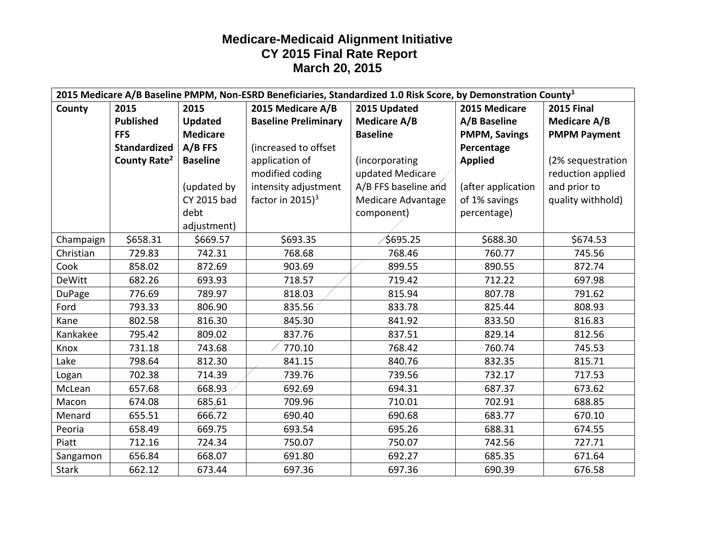| 2015 Medicare A/B Baseline PMPM, Non-ESRD Beneficiaries, Standardized 1.0 Risk Score, by Demonstration County <sup>1</sup> |                          |                 |                               |                           |                      |                     |
|----------------------------------------------------------------------------------------------------------------------------|--------------------------|-----------------|-------------------------------|---------------------------|----------------------|---------------------|
| County                                                                                                                     | 2015                     | 2015            | 2015 Medicare A/B             | 2015 Updated              | 2015 Medicare        | <b>2015 Final</b>   |
|                                                                                                                            | <b>Published</b>         | <b>Updated</b>  | <b>Baseline Preliminary</b>   | <b>Medicare A/B</b>       | A/B Baseline         | <b>Medicare A/B</b> |
|                                                                                                                            | <b>FFS</b>               | <b>Medicare</b> |                               | <b>Baseline</b>           | <b>PMPM, Savings</b> | <b>PMPM Payment</b> |
|                                                                                                                            | <b>Standardized</b>      | $A/B$ FFS       | (increased to offset          |                           | Percentage           |                     |
|                                                                                                                            | County Rate <sup>2</sup> | <b>Baseline</b> | application of                | (incorporating            | <b>Applied</b>       | (2% sequestration   |
|                                                                                                                            |                          |                 | modified coding               | updated Medicare          |                      | reduction applied   |
|                                                                                                                            |                          | (updated by     | intensity adjustment          | A/B FFS baseline and      | (after application   | and prior to        |
|                                                                                                                            |                          | CY 2015 bad     | factor in $2015$ <sup>3</sup> | <b>Medicare Advantage</b> | of 1% savings        | quality withhold)   |
|                                                                                                                            |                          | debt            |                               | component)                | percentage)          |                     |
|                                                                                                                            |                          | adjustment)     |                               |                           |                      |                     |
| Champaign                                                                                                                  | \$658.31                 | \$669.57        | \$693.35                      | \$695.25                  | \$688.30             | \$674.53            |
| Christian                                                                                                                  | 729.83                   | 742.31          | 768.68                        | 768.46                    | 760.77               | 745.56              |
| Cook                                                                                                                       | 858.02                   | 872.69          | 903.69                        | 899.55                    | 890.55               | 872.74              |
| <b>DeWitt</b>                                                                                                              | 682.26                   | 693.93          | 718.57                        | 719.42                    | 712.22               | 697.98              |
| <b>DuPage</b>                                                                                                              | 776.69                   | 789.97          | 818.03                        | 815.94                    | 807.78               | 791.62              |
| Ford                                                                                                                       | 793.33                   | 806.90          | 835.56                        | 833.78                    | 825.44               | 808.93              |
| Kane                                                                                                                       | 802.58                   | 816.30          | 845.30                        | 841.92                    | 833.50               | 816.83              |
| Kankakee                                                                                                                   | 795.42                   | 809.02          | 837.76                        | 837.51                    | 829.14               | 812.56              |
| Knox                                                                                                                       | 731.18                   | 743.68          | 770.10                        | 768.42                    | 760.74               | 745.53              |
| Lake                                                                                                                       | 798.64                   | 812.30          | 841.15                        | 840.76                    | 832.35               | 815.71              |
| Logan                                                                                                                      | 702.38                   | 714.39          | 739.76                        | 739.56                    | 732.17               | 717.53              |
| McLean                                                                                                                     | 657.68                   | 668.93          | 692.69                        | 694.31                    | 687.37               | 673.62              |
| Macon                                                                                                                      | 674.08                   | 685.61          | 709.96                        | 710.01                    | 702.91               | 688.85              |
| Menard                                                                                                                     | 655.51                   | 666.72          | 690.40                        | 690.68                    | 683.77               | 670.10              |
| Peoria                                                                                                                     | 658.49                   | 669.75          | 693.54                        | 695.26                    | 688.31               | 674.55              |
| Piatt                                                                                                                      | 712.16                   | 724.34          | 750.07                        | 750.07                    | 742.56               | 727.71              |
| Sangamon                                                                                                                   | 656.84                   | 668.07          | 691.80                        | 692.27                    | 685.35               | 671.64              |
| <b>Stark</b>                                                                                                               | 662.12                   | 673.44          | 697.36                        | 697.36                    | 690.39               | 676.58              |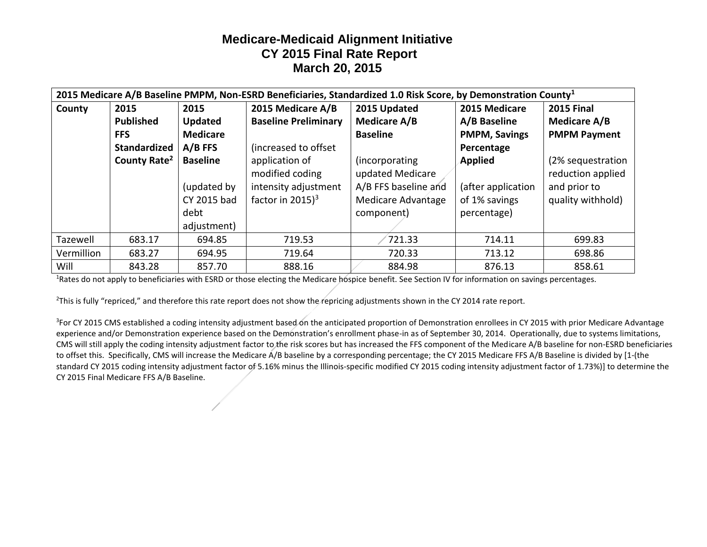| 2015 Medicare A/B Baseline PMPM, Non-ESRD Beneficiaries, Standardized 1.0 Risk Score, by Demonstration County <sup>1</sup> |                          |                 |                               |                      |                      |                     |
|----------------------------------------------------------------------------------------------------------------------------|--------------------------|-----------------|-------------------------------|----------------------|----------------------|---------------------|
| County                                                                                                                     | 2015                     | 2015            | 2015 Medicare A/B             | 2015 Updated         | 2015 Medicare        | <b>2015 Final</b>   |
|                                                                                                                            | <b>Published</b>         | <b>Updated</b>  | <b>Baseline Preliminary</b>   | Medicare A/B         | A/B Baseline         | Medicare A/B        |
|                                                                                                                            | <b>FFS</b>               | <b>Medicare</b> |                               | <b>Baseline</b>      | <b>PMPM, Savings</b> | <b>PMPM Payment</b> |
|                                                                                                                            | <b>Standardized</b>      | $A/B$ FFS       | (increased to offset)         |                      | Percentage           |                     |
|                                                                                                                            | County Rate <sup>2</sup> | <b>Baseline</b> | application of                | (incorporating       | <b>Applied</b>       | (2% sequestration   |
|                                                                                                                            |                          |                 | modified coding               | updated Medicare     |                      | reduction applied   |
|                                                                                                                            |                          | (updated by     | intensity adjustment          | A/B FFS baseline and | (after application   | and prior to        |
|                                                                                                                            |                          | CY 2015 bad     | factor in $2015$ <sup>3</sup> | Medicare Advantage   | of 1% savings        | quality withhold)   |
|                                                                                                                            |                          | debt            |                               | component)           | percentage)          |                     |
|                                                                                                                            |                          | adjustment)     |                               |                      |                      |                     |
| Tazewell                                                                                                                   | 683.17                   | 694.85          | 719.53                        | 721.33               | 714.11               | 699.83              |
| Vermillion                                                                                                                 | 683.27                   | 694.95          | 719.64                        | 720.33               | 713.12               | 698.86              |
| Will                                                                                                                       | 843.28                   | 857.70          | 888.16                        | 884.98               | 876.13               | 858.61              |

<sup>1</sup>Rates do not apply to beneficiaries with ESRD or those electing the Medicare hospice benefit. See Section IV for information on savings percentages.

<sup>2</sup>This is fully "repriced," and therefore this rate report does not show the repricing adjustments shown in the CY 2014 rate report.

<sup>3</sup>For CY 2015 CMS established a coding intensity adjustment based on the anticipated proportion of Demonstration enrollees in CY 2015 with prior Medicare Advantage experience and/or Demonstration experience based on the Demonstration's enrollment phase-in as of September 30, 2014. Operationally, due to systems limitations, CMS will still apply the coding intensity adjustment factor to the risk scores but has increased the FFS component of the Medicare A/B baseline for non-ESRD beneficiaries to offset this. Specifically, CMS will increase the Medicare A/B baseline by a corresponding percentage; the CY 2015 Medicare FFS A/B Baseline is divided by [1-(the standard CY 2015 coding intensity adjustment factor of 5.16% minus the Illinois-specific modified CY 2015 coding intensity adjustment factor of 1.73%)] to determine the CY 2015 Final Medicare FFS A/B Baseline.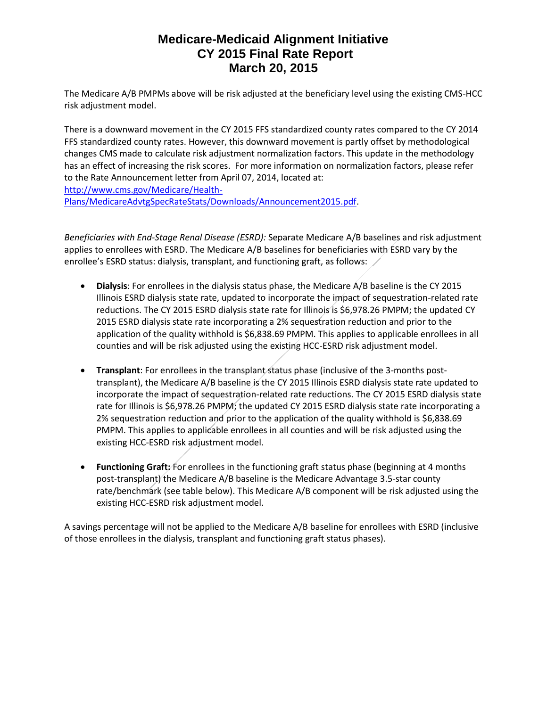The Medicare A/B PMPMs above will be risk adjusted at the beneficiary level using the existing CMS-HCC risk adjustment model.

There is a downward movement in the CY 2015 FFS standardized county rates compared to the CY 2014 FFS standardized county rates. However, this downward movement is partly offset by methodological changes CMS made to calculate risk adjustment normalization factors. This update in the methodology has an effect of increasing the risk scores. For more information on normalization factors, please refer to the Rate Announcement letter from April 07, 2014, located at: [http://www.cms.gov/Medicare/Health-](http://www.cms.gov/Medicare/Health-Plans/MedicareAdvtgSpecRateStats/Downloads/Announcement2015.pdf)

[Plans/MedicareAdvtgSpecRateStats/Downloads/Announcement2015.pdf.](http://www.cms.gov/Medicare/Health-Plans/MedicareAdvtgSpecRateStats/Downloads/Announcement2015.pdf)

*Beneficiaries with End-Stage Renal Disease (ESRD):* Separate Medicare A/B baselines and risk adjustment applies to enrollees with ESRD. The Medicare A/B baselines for beneficiaries with ESRD vary by the enrollee's ESRD status: dialysis, transplant, and functioning graft, as follows:  $\angle$ 

- **Dialysis**: For enrollees in the dialysis status phase, the Medicare A/B baseline is the CY 2015 Illinois ESRD dialysis state rate, updated to incorporate the impact of sequestration-related rate reductions. The CY 2015 ESRD dialysis state rate for Illinois is \$6,978.26 PMPM; the updated CY 2015 ESRD dialysis state rate incorporating a 2% sequestration reduction and prior to the application of the quality withhold is \$6,838.69 PMPM. This applies to applicable enrollees in all counties and will be risk adjusted using the existing HCC-ESRD risk adjustment model.
- **Transplant**: For enrollees in the transplant status phase (inclusive of the 3-months posttransplant), the Medicare A/B baseline is the CY 2015 Illinois ESRD dialysis state rate updated to incorporate the impact of sequestration-related rate reductions. The CY 2015 ESRD dialysis state rate for Illinois is \$6,978.26 PMPM; the updated CY 2015 ESRD dialysis state rate incorporating a 2% sequestration reduction and prior to the application of the quality withhold is \$6,838.69 PMPM. This applies to applicable enrollees in all counties and will be risk adjusted using the existing HCC-ESRD risk adjustment model.
- **Functioning Graft:** For enrollees in the functioning graft status phase (beginning at 4 months post-transplant) the Medicare A/B baseline is the Medicare Advantage 3.5-star county rate/benchmark (see table below). This Medicare A/B component will be risk adjusted using the existing HCC-ESRD risk adjustment model.

A savings percentage will not be applied to the Medicare A/B baseline for enrollees with ESRD (inclusive of those enrollees in the dialysis, transplant and functioning graft status phases).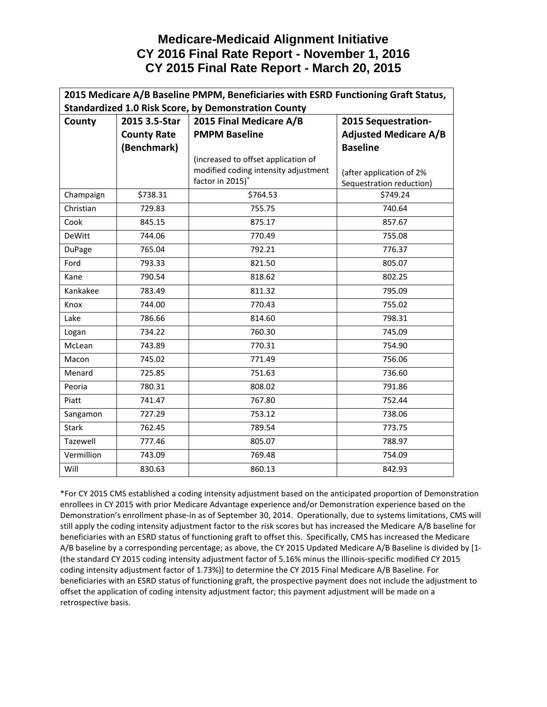## **Medicare-Medicaid Alignment Initiative CY 2016 Final Rate Report - November 1, 2016 CY 2015 Final Rate Report - March 20, 2015**

| 2015 Medicare A/B Baseline PMPM, Beneficiaries with ESRD Functioning Graft Status, |                    |                                      |                              |  |
|------------------------------------------------------------------------------------|--------------------|--------------------------------------|------------------------------|--|
| <b>Standardized 1.0 Risk Score, by Demonstration County</b>                        |                    |                                      |                              |  |
| County                                                                             | 2015 3.5-Star      | 2015 Final Medicare A/B              | 2015 Sequestration-          |  |
|                                                                                    | <b>County Rate</b> | <b>PMPM Baseline</b>                 | <b>Adjusted Medicare A/B</b> |  |
|                                                                                    | (Benchmark)        |                                      | <b>Baseline</b>              |  |
|                                                                                    |                    | (increased to offset application of  |                              |  |
|                                                                                    |                    | modified coding intensity adjustment | (after application of 2%     |  |
|                                                                                    |                    | factor in 2015)*                     | Sequestration reduction)     |  |
| Champaign                                                                          | \$738.31           | \$764.53                             | \$749.24                     |  |
| Christian                                                                          | 729.83             | 755.75                               | 740.64                       |  |
| Cook                                                                               | 845.15             | 875.17                               | 857.67                       |  |
| <b>DeWitt</b>                                                                      | 744.06             | 770.49                               | 755.08                       |  |
| DuPage                                                                             | 765.04             | 792.21                               | 776.37                       |  |
| Ford                                                                               | 793.33             | 821.50                               | 805.07                       |  |
| Kane                                                                               | 790.54             | 818.62                               | 802.25                       |  |
| Kankakee                                                                           | 783.49             | 811.32                               | 795.09                       |  |
| Knox                                                                               | 744.00             | 770.43                               | 755.02                       |  |
| Lake                                                                               | 786.66             | 814.60                               | 798.31                       |  |
| Logan                                                                              | 734.22             | 760.30                               | 745.09                       |  |
| McLean                                                                             | 743.89             | 770.31                               | 754.90                       |  |
| Macon                                                                              | 745.02             | 771.49                               | 756.06                       |  |
| Menard                                                                             | 725.85             | 751.63                               | 736.60                       |  |
| Peoria                                                                             | 780.31             | 808.02                               | 791.86                       |  |
| Piatt                                                                              | 741.47             | 767.80                               | 752.44                       |  |
| Sangamon                                                                           | 727.29             | 753.12                               | 738.06                       |  |
| <b>Stark</b>                                                                       | 762.45             | 789.54                               | 773.75                       |  |
| Tazewell                                                                           | 777.46             | 805.07                               | 788.97                       |  |
| Vermillion                                                                         | 743.09             | 769.48                               | 754.09                       |  |
| Will                                                                               | 830.63             | 860.13                               | 842.93                       |  |

\*For CY 2015 CMS established a coding intensity adjustment based on the anticipated proportion of Demonstration enrollees in CY 2015 with prior Medicare Advantage experience and/or Demonstration experience based on the Demonstration's enrollment phase-in as of September 30, 2014. Operationally, due to systems limitations, CMS will still apply the coding intensity adjustment factor to the risk scores but has increased the Medicare A/B baseline for beneficiaries with an ESRD status of functioning graft to offset this. Specifically, CMS has increased the Medicare A/B baseline by a corresponding percentage; as above, the CY 2015 Updated Medicare A/B Baseline is divided by [1- (the standard CY 2015 coding intensity adjustment factor of 5.16% minus the Illinois-specific modified CY 2015 coding intensity adjustment factor of 1.73%)] to determine the CY 2015 Final Medicare A/B Baseline. For beneficiaries with an ESRD status of functioning graft, the prospective payment does not include the adjustment to offset the application of coding intensity adjustment factor; this payment adjustment will be made on a retrospective basis.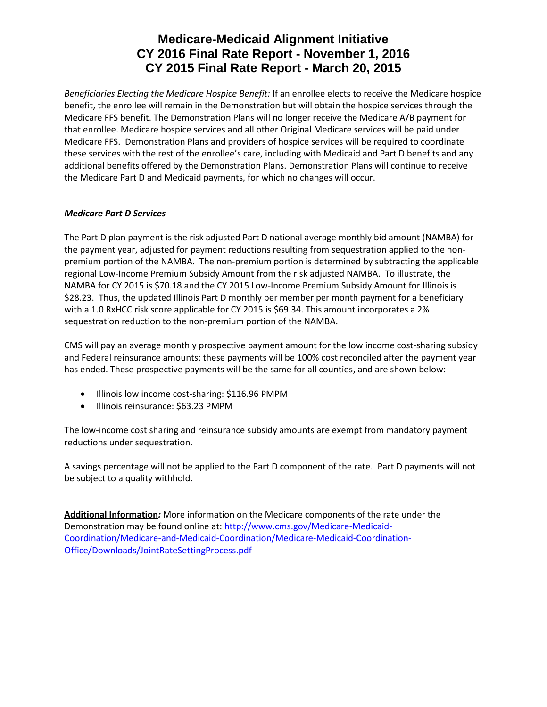# **Medicare-Medicaid Alignment Initiative CY 2016 Final Rate Report - November 1, 2016 CY 2015 Final Rate Report - March 20, 2015**

*Beneficiaries Electing the Medicare Hospice Benefit:* If an enrollee elects to receive the Medicare hospice benefit, the enrollee will remain in the Demonstration but will obtain the hospice services through the Medicare FFS benefit. The Demonstration Plans will no longer receive the Medicare A/B payment for that enrollee. Medicare hospice services and all other Original Medicare services will be paid under Medicare FFS. Demonstration Plans and providers of hospice services will be required to coordinate these services with the rest of the enrollee's care, including with Medicaid and Part D benefits and any additional benefits offered by the Demonstration Plans. Demonstration Plans will continue to receive the Medicare Part D and Medicaid payments, for which no changes will occur.

### *Medicare Part D Services*

The Part D plan payment is the risk adjusted Part D national average monthly bid amount (NAMBA) for the payment year, adjusted for payment reductions resulting from sequestration applied to the nonpremium portion of the NAMBA. The non-premium portion is determined by subtracting the applicable regional Low-Income Premium Subsidy Amount from the risk adjusted NAMBA. To illustrate, the NAMBA for CY 2015 is \$70.18 and the CY 2015 Low-Income Premium Subsidy Amount for Illinois is \$28.23. Thus, the updated Illinois Part D monthly per member per month payment for a beneficiary with a 1.0 RxHCC risk score applicable for CY 2015 is \$69.34. This amount incorporates a 2% sequestration reduction to the non-premium portion of the NAMBA.

CMS will pay an average monthly prospective payment amount for the low income cost-sharing subsidy and Federal reinsurance amounts; these payments will be 100% cost reconciled after the payment year has ended. These prospective payments will be the same for all counties, and are shown below:

- Illinois low income cost-sharing: \$116.96 PMPM
- Illinois reinsurance: \$63.23 PMPM

The low-income cost sharing and reinsurance subsidy amounts are exempt from mandatory payment reductions under sequestration.

A savings percentage will not be applied to the Part D component of the rate. Part D payments will not be subject to a quality withhold.

**Additional Information***:* More information on the Medicare components of the rate under the Demonstration may be found online at: [http://www.cms.gov/Medicare-Medicaid-](http://www.cms.gov/Medicare-Medicaid-Coordination/Medicare-and-Medicaid-Coordination/Medicare-Medicaid-Coordination-Office/Downloads/JointRateSettingProcess.pdf)[Coordination/Medicare-and-Medicaid-Coordination/Medicare-Medicaid-Coordination-](http://www.cms.gov/Medicare-Medicaid-Coordination/Medicare-and-Medicaid-Coordination/Medicare-Medicaid-Coordination-Office/Downloads/JointRateSettingProcess.pdf)[Office/Downloads/JointRateSettingProcess.pdf](http://www.cms.gov/Medicare-Medicaid-Coordination/Medicare-and-Medicaid-Coordination/Medicare-Medicaid-Coordination-Office/Downloads/JointRateSettingProcess.pdf)